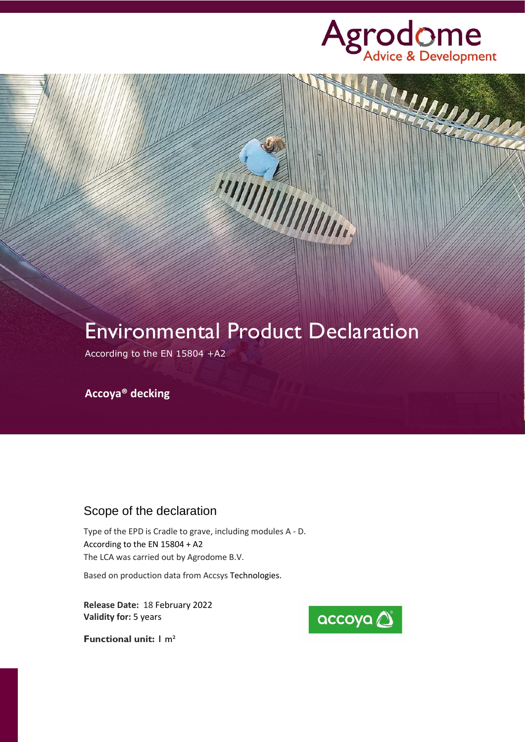

William

# Environmental Product Declaration

**HATTANIAN STATE** 

According to the EN 15804 +A2

**Accoya® decking**

### Scope of the declaration

Type of the EPD is Cradle to grave, including modules A - D. According to the EN 15804 + A2 The LCA was carried out by Agrodome B.V.

Based on production data from Accsys Technologies.

**Release Date:** 18 February 2022 **Validity for:** 5 years



**Functional unit:** 1 m²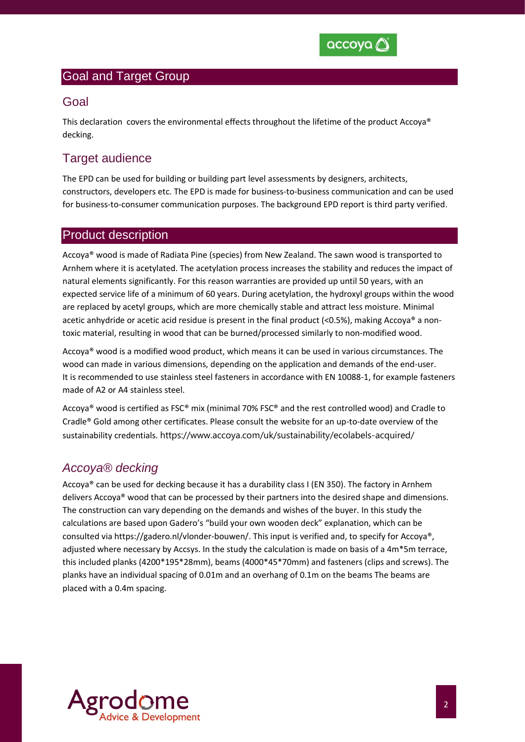

#### Goal and Target Group

#### Goal

This declaration covers the environmental effects throughout the lifetime of the product Accoya® decking.

#### Target audience

The EPD can be used for building or building part level assessments by designers, architects, constructors, developers etc. The EPD is made for business-to-business communication and can be used for business-to-consumer communication purposes. The background EPD report is third party verified.

#### Product description

Accoya® wood is made of Radiata Pine (species) from New Zealand. The sawn wood is transported to Arnhem where it is acetylated. The acetylation process increases the stability and reduces the impact of natural elements significantly. For this reason warranties are provided up until 50 years, with an expected service life of a minimum of 60 years. During acetylation, the hydroxyl groups within the wood are replaced by acetyl groups, which are more chemically stable and attract less moisture. Minimal acetic anhydride or acetic acid residue is present in the final product (<0.5%), making Accoya® a nontoxic material, resulting in wood that can be burned/processed similarly to non-modified wood.

Accoya® wood is a modified wood product, which means it can be used in various circumstances. The wood can made in various dimensions, depending on the application and demands of the end-user. It is recommended to use stainless steel fasteners in accordance with EN 10088-1, for example fasteners made of A2 or A4 stainless steel.

Accoya® wood is certified as FSC® mix (minimal 70% FSC® and the rest controlled wood) and Cradle to Cradle® Gold among other certificates. Please consult the website for an up-to-date overview of the sustainability credentials. https://www.accoya.com/uk/sustainability/ecolabels-acquired/

#### *Accoya® decking*

Accoya® can be used for decking because it has a durability class I (EN 350). The factory in Arnhem delivers Accoya® wood that can be processed by their partners into the desired shape and dimensions. The construction can vary depending on the demands and wishes of the buyer. In this study the calculations are based upon Gadero's "build your own wooden deck" explanation, which can be consulted via https://gadero.nl/vlonder-bouwen/. This input is verified and, to specify for Accoya®, adjusted where necessary by Accsys. In the study the calculation is made on basis of a 4m\*5m terrace, this included planks (4200\*195\*28mm), beams (4000\*45\*70mm) and fasteners (clips and screws). The planks have an individual spacing of 0.01m and an overhang of 0.1m on the beams The beams are placed with a 0.4m spacing.

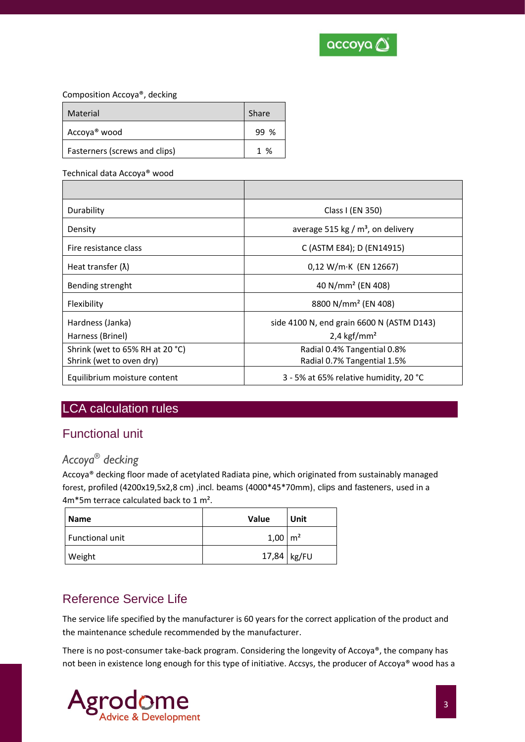

#### Composition Accoya®, decking

| Material                      | Share               |
|-------------------------------|---------------------|
| Accoya <sup>®</sup> wood      | $\frac{0}{2}$<br>99 |
| Fasterners (screws and clips) | $1 \frac{9}{6}$     |

#### Technical data Accoya® wood

| Durability                      | Class I (EN 350)                                 |
|---------------------------------|--------------------------------------------------|
| Density                         | average 515 kg / $m3$ , on delivery              |
| Fire resistance class           | C (ASTM E84); D (EN14915)                        |
| Heat transfer $(\lambda)$       | $0,12 W/m·K$ (EN 12667)                          |
| Bending strenght                | 40 N/mm <sup>2</sup> (EN 408)                    |
| Flexibility                     | 8800 N/mm <sup>2</sup> (EN 408)                  |
| Hardness (Janka)                | side 4100 N, end grain 6600 N (ASTM D143)        |
| Harness (Brinel)                | $2,4$ kgf/mm <sup>2</sup>                        |
| Shrink (wet to 65% RH at 20 °C) | Radial 0.4% Tangential 0.8%                      |
| Shrink (wet to oven dry)        | Radial 0.7% Tangential 1.5%                      |
| Equilibrium moisture content    | 3 - 5% at 65% relative humidity, 20 $^{\circ}$ C |

## LCA calculation rules

## Functional unit

### *Accoya® decking*

Accoya® decking floor made of acetylated Radiata pine, which originated from sustainably managed forest, profiled (4200x19,5x2,8 cm) ,incl. beams (4000\*45\*70mm), clips and fasteners, used in a 4m\*5m terrace calculated back to 1 m².

| <b>Name</b>     | <b>Value</b>    | Unit        |
|-----------------|-----------------|-------------|
| Functional unit | $1,00 \mid m^2$ |             |
| Weight          |                 | 17,84 kg/FU |

## Reference Service Life

The service life specified by the manufacturer is 60 years for the correct application of the product and the maintenance schedule recommended by the manufacturer.

There is no post-consumer take-back program. Considering the longevity of Accoya®, the company has not been in existence long enough for this type of initiative. Accsys, the producer of Accoya® wood has a

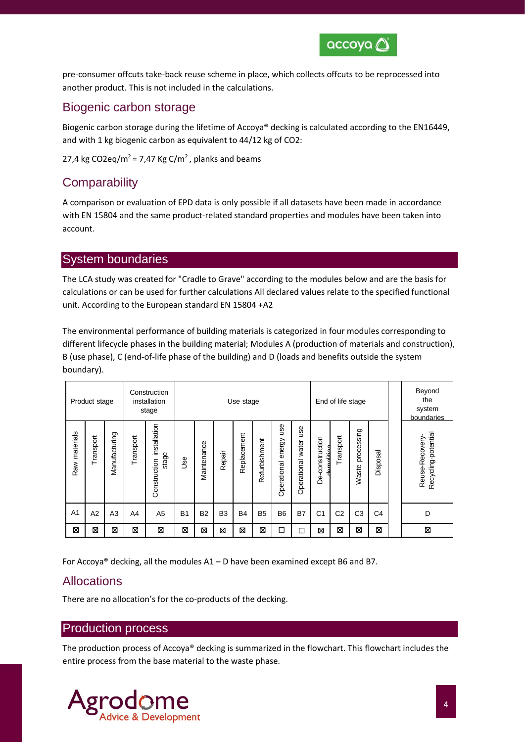

pre-consumer offcuts take-back reuse scheme in place, which collects offcuts to be reprocessed into another product. This is not included in the calculations.

#### Biogenic carbon storage

Biogenic carbon storage during the lifetime of Accoya® decking is calculated according to the EN16449, and with 1 kg biogenic carbon as equivalent to 44/12 kg of CO2:

27,4 kg CO2eq/m<sup>2</sup> = 7,47 Kg C/m<sup>2</sup>, planks and beams

## **Comparability**

A comparison or evaluation of EPD data is only possible if all datasets have been made in accordance with EN 15804 and the same product-related standard properties and modules have been taken into account.

#### System boundaries

The LCA study was created for "Cradle to Grave" according to the modules below and are the basis for calculations or can be used for further calculations All declared values relate to the specified functional unit. According to the European standard EN 15804 +A2

The environmental performance of building materials is categorized in four modules corresponding to different lifecycle phases in the building material; Modules A (production of materials and construction), B (use phase), C (end-of-life phase of the building) and D (loads and benefits outside the system boundary).

|                | Product stage |                |           | Construction<br>installation<br>stage |           |             |                | Use stage   |               |                                     |                             |                              | End of life stage |                     |                | Beyond<br>the<br>system<br>boundaries  |
|----------------|---------------|----------------|-----------|---------------------------------------|-----------|-------------|----------------|-------------|---------------|-------------------------------------|-----------------------------|------------------------------|-------------------|---------------------|----------------|----------------------------------------|
| Raw materials  | Transport     | Manufacturing  | Transport | installation<br>stage<br>Construction | Jse       | Maintenance | Repair         | Replacement | Refurbishment | <b>use</b><br>energy<br>Operational | use<br>water<br>Operational | -construction<br>منتناه<br>ة | Transport         | processing<br>Waste | Disposal       | Recycling-potential<br>Reuse-Recovery- |
| A <sub>1</sub> | A2            | A <sub>3</sub> | A4        | A <sub>5</sub>                        | <b>B1</b> | <b>B2</b>   | B <sub>3</sub> | <b>B4</b>   | <b>B5</b>     | B <sub>6</sub>                      | <b>B7</b>                   | C <sub>1</sub>               | C <sub>2</sub>    | C <sub>3</sub>      | C <sub>4</sub> | D                                      |
| ⊠              | ⊠             | ⊠              | ⊠         | ⊠                                     | ⊠         | X           | ⊠              | Ø           | ⊠             | $\Box$                              | $\Box$                      | ⊠                            | ⊠                 | ⊠                   | ⊠              | ⊠                                      |

For Accoya® decking, all the modules A1 – D have been examined except B6 and B7.

## Allocations

There are no allocation's for the co-products of the decking.

#### Production process

The production process of Accoya® decking is summarized in the flowchart. This flowchart includes the entire process from the base material to the waste phase.

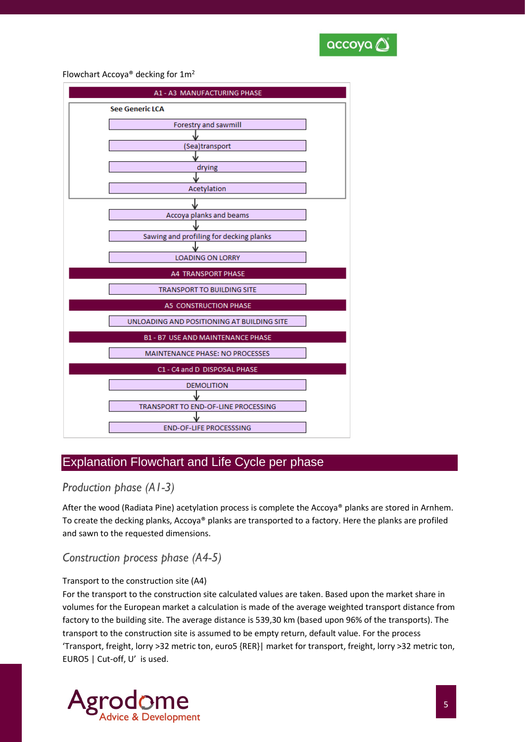

Flowchart Accoya® decking for 1m<sup>2</sup>

| A1 - A3 MANUFACTURING PHASE                |
|--------------------------------------------|
| <b>See Generic LCA</b>                     |
| Forestry and sawmill                       |
|                                            |
| (Sea)transport                             |
|                                            |
| drying                                     |
| Acetylation                                |
|                                            |
|                                            |
| Accoya planks and beams                    |
|                                            |
| Sawing and profiling for decking planks    |
| <b>LOADING ON LORRY</b>                    |
|                                            |
| <b>A4 TRANSPORT PHASE</b>                  |
| <b>TRANSPORT TO BUILDING SITE</b>          |
| A5 CONSTRUCTION PHASE                      |
| UNLOADING AND POSITIONING AT BUILDING SITE |
| <b>B1 - B7 USE AND MAINTENANCE PHASE</b>   |
| <b>MAINTENANCE PHASE: NO PROCESSES</b>     |
| C1 - C4 and D DISPOSAL PHASE               |
| <b>DEMOLITION</b>                          |
|                                            |
| TRANSPORT TO END-OF-LINE PROCESSING        |
|                                            |
| <b>END-OF-LIFE PROCESSSING</b>             |

### Explanation Flowchart and Life Cycle per phase

#### *Production phase (A1-3)*

After the wood (Radiata Pine) acetylation process is complete the Accoya® planks are stored in Arnhem. To create the decking planks, Accoya® planks are transported to a factory. Here the planks are profiled and sawn to the requested dimensions.

#### *Construction process phase (A4-5)*

#### Transport to the construction site (A4)

For the transport to the construction site calculated values are taken. Based upon the market share in volumes for the European market a calculation is made of the average weighted transport distance from factory to the building site. The average distance is 539,30 km (based upon 96% of the transports). The transport to the construction site is assumed to be empty return, default value. For the process 'Transport, freight, lorry >32 metric ton, euro5 {RER}| market for transport, freight, lorry >32 metric ton, EURO5 | Cut-off, U' is used.

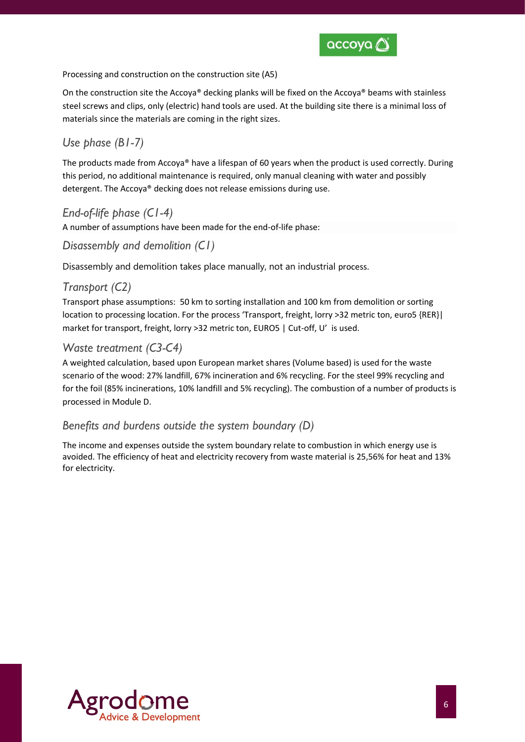

Processing and construction on the construction site (A5)

On the construction site the Accoya<sup>®</sup> decking planks will be fixed on the Accoya<sup>®</sup> beams with stainless steel screws and clips, only (electric) hand tools are used. At the building site there is a minimal loss of materials since the materials are coming in the right sizes.

## *Use phase (B1-7)*

The products made from Accoya® have a lifespan of 60 years when the product is used correctly. During this period, no additional maintenance is required, only manual cleaning with water and possibly detergent. The Accoya® decking does not release emissions during use.

### *End-of-life phase (C1-4)*

A number of assumptions have been made for the end-of-life phase:

#### *Disassembly and demolition (C1)*

Disassembly and demolition takes place manually, not an industrial process.

#### *Transport (C2)*

Transport phase assumptions: 50 km to sorting installation and 100 km from demolition or sorting location to processing location. For the process 'Transport, freight, lorry >32 metric ton, euro5 {RER}| market for transport, freight, lorry >32 metric ton, EURO5 | Cut-off, U' is used.

#### *Waste treatment (C3-C4)*

A weighted calculation, based upon European market shares (Volume based) is used for the waste scenario of the wood: 27% landfill, 67% incineration and 6% recycling. For the steel 99% recycling and for the foil (85% incinerations, 10% landfill and 5% recycling). The combustion of a number of products is processed in Module D.

#### *Benefits and burdens outside the system boundary (D)*

The income and expenses outside the system boundary relate to combustion in which energy use is avoided. The efficiency of heat and electricity recovery from waste material is 25,56% for heat and 13% for electricity.

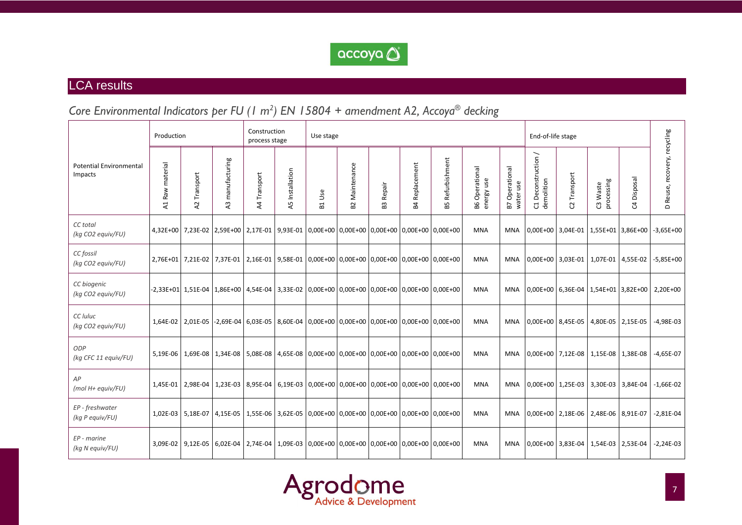

## LCA results

## *Core Environmental Indicators per FU (1 m 2 ) EN 15804 + amendment A2, Accoya® decking*

|                                           | Production                        |                                |                     | Construction<br>process stage |                                                                                                             | Use stage |                               |                          |                       |                                                |                                     |                                | End-of-life stage                                             |                                     |                        |               |                              |
|-------------------------------------------|-----------------------------------|--------------------------------|---------------------|-------------------------------|-------------------------------------------------------------------------------------------------------------|-----------|-------------------------------|--------------------------|-----------------------|------------------------------------------------|-------------------------------------|--------------------------------|---------------------------------------------------------------|-------------------------------------|------------------------|---------------|------------------------------|
| <b>Potential Environmental</b><br>Impacts | material<br>Raw<br>$\overline{z}$ | Transport<br>$\lambda$         | manufacturing<br>43 | Transport<br>$\overline{4}$   | Installation<br>45                                                                                          | Use<br>모  | Maintenance<br>B <sub>2</sub> | Repair<br>B <sub>3</sub> | <b>B4 Replacement</b> | Refurbishment<br>55                            | <b>B6</b> Operational<br>energy use | Operational<br>water use<br>P. | $\overline{\phantom{0}}$<br>Deconstruction<br>demolition<br>ರ | Transport<br>S                      | processing<br>C3 Waste | Disposal<br>ೆ | D Reuse, recovery, recycling |
| CC total<br>(kg CO2 equiv/FU)             | $4.32E + 00$                      |                                | 7,23E-02 2,59E+00   |                               | 2,17E-01 9,93E-01                                                                                           |           |                               |                          |                       | $0.00E+00$ 0.00E+00 0.00E+00 0.00E+00 0.00E+00 | <b>MNA</b>                          | <b>MNA</b>                     |                                                               | 0,00E+00 3,04E-01 1,55E+01 3,86E+00 |                        |               | $-3,65E+00$                  |
| CC fossil<br>(kg CO2 equiv/FU)            | 2.76E+01                          | 7,21E-02                       | 7,37E-01            |                               | 2,16E-01 9,58E-01 0,00E+00 0,00E+00 0,00E+00 0,00E+00 0,00E+00                                              |           |                               |                          |                       |                                                | <b>MNA</b>                          | <b>MNA</b>                     |                                                               | 0,00E+00 3,03E-01 1,07E-01 4,55E-02 |                        |               | $-5,85E+00$                  |
| CC biogenic<br>(kg CO2 equiv/FU)          |                                   |                                |                     |                               | -2,33E+01 1,51E-04 1,86E+00 4,54E-04 3,33E-02 0,00E+00 0,00E+00 0,00E+00 0,00E+00 0,00E+00                  |           |                               |                          |                       |                                                | <b>MNA</b>                          | <b>MNA</b>                     |                                                               | 0,00E+00 6,36E-04 1,54E+01 3,82E+00 |                        |               | 2,20E+00                     |
| CC luluc<br>(kg CO2 equiv/FU)             |                                   |                                |                     |                               | 1,64E-02   2,01E-05  -2,69E-04   6,03E-05   8,60E-04   0,00E+00   0,00E+00   0,00E+00   0,00E+00   0,00E+00 |           |                               |                          |                       |                                                | <b>MNA</b>                          | <b>MNA</b>                     |                                                               | 0,00E+00 8,45E-05 4,80E-05 2,15E-05 |                        |               | $-4,98E-03$                  |
| <b>ODP</b><br>(kg CFC 11 equiv/FU)        |                                   |                                |                     |                               | 5,19E-06   1,69E-08   1,34E-08   5,08E-08   4,65E-08   0,00E+00   0,00E+00   0,00E+00   0,00E+00   0,00E+00 |           |                               |                          |                       |                                                | <b>MNA</b>                          | <b>MNA</b>                     |                                                               | 0,00E+00 7,12E-08 1,15E-08 1,38E-08 |                        |               | $-4,65E-07$                  |
| AP<br>$(mod H+equiv/VFU)$                 | 1,45E-01                          | 2,98E-04                       |                     |                               | 1,23E-03   8,95E-04   6,19E-03   0,00E+00   0,00E+00   0,00E+00   0,00E+00   0,00E+00                       |           |                               |                          |                       |                                                | <b>MNA</b>                          | <b>MNA</b>                     |                                                               | $0,00E+00$ 1,25E-03 3,30E-03        |                        | 3,84E-04      | $-1,66E-02$                  |
| EP - freshwater<br>(kg P equiv/FU)        |                                   | 1,02E-03   5,18E-07   4,15E-05 |                     |                               | 1,55E-06 3,62E-05 0,00E+00 0,00E+00 0,00E+00 0,00E+00 0,00E+00                                              |           |                               |                          |                       |                                                | <b>MNA</b>                          | <b>MNA</b>                     |                                                               | 0,00E+00 2,18E-06 2,48E-06 8,91E-07 |                        |               | $-2,81E-04$                  |
| EP - marine<br>(kg N equiv/FU)            |                                   | 3,09E-02 9,12E-05 6,02E-04     |                     |                               | 2,74E-04   1,09E-03   0,00E+00   0,00E+00   0,00E+00   0,00E+00   0,00E+00                                  |           |                               |                          |                       |                                                | <b>MNA</b>                          | <b>MNA</b>                     |                                                               | 0,00E+00 3,83E-04 1,54E-03 2,53E-04 |                        |               | $-2,24E-03$                  |

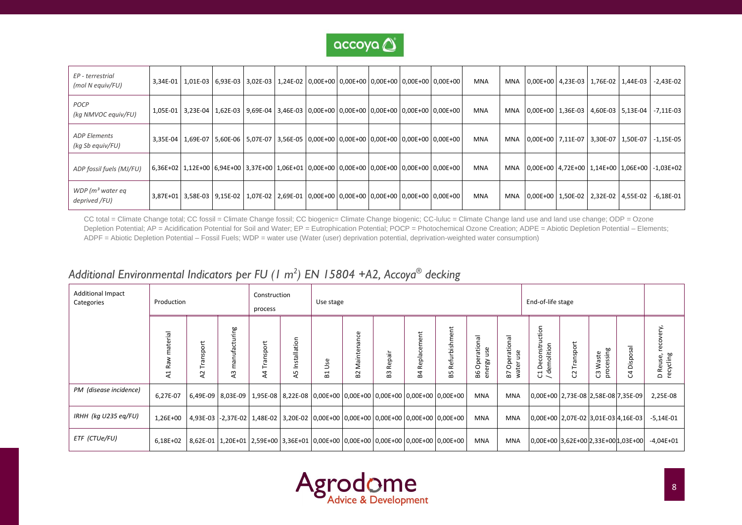

| EP - terrestrial<br>(mol N equiv/FU)    |  | 3,34E-01   1,01E-03   6,93E-03   3,02E-03   1,24E-02   0,00E+00   0,00E+00   0,00E+00   0,00E+00   0,00E+00 |  |  |  | <b>MNA</b> |     |                                         | MNA 0,00E+00 4,23E-03 1,76E-02 1,44E-03         | $-2,43E-02$ |
|-----------------------------------------|--|-------------------------------------------------------------------------------------------------------------|--|--|--|------------|-----|-----------------------------------------|-------------------------------------------------|-------------|
| POCP<br>(kg NMVOC equiv/FU)             |  | 1,05E-01 3,23E-04 1,62E-03 9,69E-04 3,46E-03 0,00E+00 0,00E+00 0,00E+00 0,00E+00 0,00E+00                   |  |  |  | MNA        |     |                                         | MNA   0,00E+00   1,36E-03   4,60E-03   5,13E-04 | $-7,11E-03$ |
| <b>ADP Elements</b><br>(kg Sb equiv/FU) |  | 3,35E-04   1,69E-07   5,60E-06   5,07E-07   3,56E-05   0,00E+00   0,00E+00   0,00E+00   0,00E+00   0,00E+00 |  |  |  | <b>MNA</b> |     | MNA 0,00E+00 7,11E-07 3,30E-07 1,50E-07 |                                                 | $-1,15E-05$ |
| ADP fossil fuels (MJ/FU)                |  | 6,36E+02   1,12E+00   6,94E+00   3,37E+00   1,06E+01   0,00E+00   0,00E+00   0,00E+00   0,00E+00   0,00E+00 |  |  |  | <b>MNA</b> |     |                                         | MNA   0,00E+00   4,72E+00   1,14E+00   1,06E+00 | $-1,03E+02$ |
| WDP $(m^3$ water eq<br>deprived /FU)    |  | 3,87E+01   3,58E-03   9,15E-02   1,07E-02   2,69E-01   0,00E+00   0,00E+00   0,00E+00   0,00E+00   0,00E+00 |  |  |  | <b>MNA</b> | MNA |                                         | 0,00E+00 1,50E-02 2,32E-02 4,55E-02             | $-6,18E-01$ |

CC total = Climate Change total; CC fossil = Climate Change fossil; CC biogenic= Climate Change biogenic; CC-luluc = Climate Change land use and land use change; ODP = Ozone Depletion Potential; AP = Acidification Potential for Soil and Water; EP = Eutrophication Potential; POCP = Photochemical Ozone Creation; ADPE = Abiotic Depletion Potential – Elements; ADPF = Abiotic Depletion Potential – Fossil Fuels; WDP = water use (Water (user) deprivation potential, deprivation-weighted water consumption)

## *Additional Environmental Indicators per FU (1 m 2 ) EN 15804 +A2, Accoya® decking*

| <b>Additional Impact</b><br>Categories | Production                                     |                        |                                 | Construction<br>process |                    | Use stage                |                                                                                                  |              |                   |                     |                                    |                                  | End-of-life stage                              |                |                          |             |                                    |
|----------------------------------------|------------------------------------------------|------------------------|---------------------------------|-------------------------|--------------------|--------------------------|--------------------------------------------------------------------------------------------------|--------------|-------------------|---------------------|------------------------------------|----------------------------------|------------------------------------------------|----------------|--------------------------|-------------|------------------------------------|
|                                        | na<br>Tai<br>ate<br>≷<br>æ<br>$\mathbf -$<br>⋖ | pas<br>ਨੋ<br>$\lambda$ | manufacturing<br>$\overline{a}$ | Transport<br>\$         | Installation<br>45 | æ<br>$\blacksquare$<br>≃ | ප<br>han<br>완<br>Maint<br>53                                                                     | Repair<br>53 | Replacement<br>S4 | Refurbishment<br>55 | Operational<br>use<br>energy<br>86 | Operational<br>use<br>water<br>5 | Deconstruction<br>C1 Deconstru<br>/ demolition | Transport<br>G | processing<br>Waste<br>ෆ | C4 Disposal | recovery,<br>D Reuse,<br>recycling |
| PM (disease incidence)                 | 6,27E-07                                       |                        |                                 |                         |                    |                          | 6,49E-09   8,03E-09   1,95E-08   8,22E-08   0,00E+00   0,00E+00   0,00E+00   0,00E+00   0,00E+00 |              |                   |                     | MNA                                | MNA                              | 0,00E+00 2,73E-08 2,58E-08 7,35E-09            |                |                          |             | 2,25E-08                           |
| IRHH (kg U235 eg/FU)                   | 1,26E+00                                       |                        |                                 |                         |                    |                          | 4,93E-03 -2,37E-02 1,48E-02 3,20E-02 0,00E+00 0,00E+00 0,00E+00 0,00E+00 0,00E+00                |              |                   |                     | MNA                                | MNA                              | 0,00E+00 2,07E-02 3,01E-03 4,16E-03            |                |                          |             | $-5,14E-01$                        |
| ETF (CTUe/FU)                          | 6,18E+02                                       |                        |                                 |                         |                    |                          | 8,62E-01   1,20E+01   2,59E+00   3,36E+01   0,00E+00   0,00E+00   0,00E+00   0,00E+00   0,00E+00 |              |                   |                     | MNA                                | <b>MNA</b>                       | 0,00E+00 3,62E+00 2,33E+00 1,03E+00            |                |                          |             | $-4,04E+01$                        |

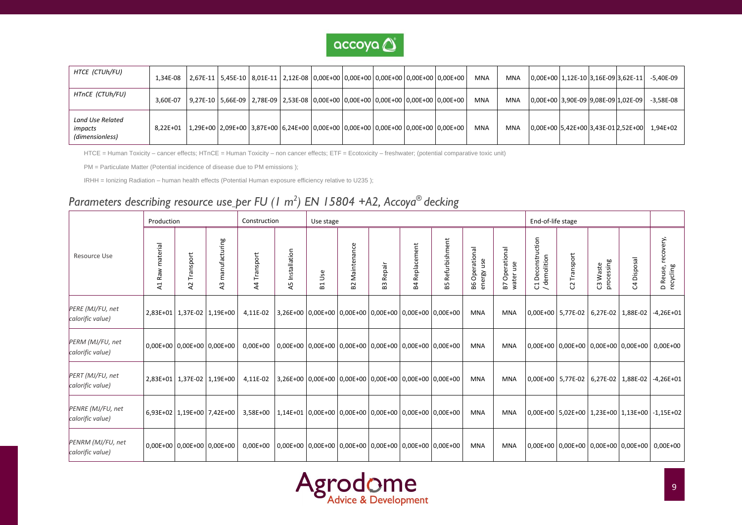

| HTCE (CTUh/FU)                                 | 1,34E-08 |                                                                                                         |  | 2,67E-11 5,45E-10 8,01E-11 2,12E-08 0,00E+00 0,00E+00 0,00E+00 0,00E+00 0,00E+00 |  |  | MNA        | <b>MNA</b> | 0,00E+00 1,12E-10 3,16E-09 3,62E-11 |  | $-5,40E-09$ |
|------------------------------------------------|----------|---------------------------------------------------------------------------------------------------------|--|----------------------------------------------------------------------------------|--|--|------------|------------|-------------------------------------|--|-------------|
| HTnCE (CTUh/FU)                                | 3,60E-07 | 9,27E-10   5,66E-09   2,78E-09   2,53E-08   0,00E+00   0,00E+00   0,00E+00   0,00E+00   0,00E+00        |  |                                                                                  |  |  | MNA        | <b>MNA</b> | 0,00E+00 3,90E-09 9,08E-09 1,02E-09 |  | $-3.58E-08$ |
| Land Use Related<br>impacts<br>(dimensionless) | 8.22E+01 | $(1,29E+00)$ $(2,09E+00)$ $(3,87E+00)$ $(6,24E+00)$ $(0,00E+00)$ $(0,00E+00)$ $(0,00E+00)$ $(0,00E+00)$ |  |                                                                                  |  |  | <b>MNA</b> | <b>MNA</b> | 0,00E+00 5,42E+00 3,43E-01 2,52E+00 |  | 1.94E+02    |

HTCE = Human Toxicity – cancer effects; HTnCE = Human Toxicity – non cancer effects; ETF = Ecotoxicity – freshwater; (potential comparative toxic unit)

PM = Particulate Matter (Potential incidence of disease due to PM emissions );

IRHH = Ionizing Radiation – human health effects (Potential Human exposure efficiency relative to U235 );

## *Parameters describing resource use per FU (1 m 2 ) EN 15804 +A2, Accoya® decking*

|                                       | Production                        |                             |                                  | Construction                                                                 |                 | Use stage          |                   |                  |                       |                         |                              |                                       | End-of-life stage                             |                                     |                        |             |                                               |
|---------------------------------------|-----------------------------------|-----------------------------|----------------------------------|------------------------------------------------------------------------------|-----------------|--------------------|-------------------|------------------|-----------------------|-------------------------|------------------------------|---------------------------------------|-----------------------------------------------|-------------------------------------|------------------------|-------------|-----------------------------------------------|
| Resource Use                          | material<br>Raw<br>$\overline{z}$ | Transport<br>$\overline{A}$ | manufacturing<br>$\overline{43}$ | Transport<br>$\overline{4}$                                                  | A5 Installation | Use<br>$E_{\rm d}$ | Maintenance<br>B2 | <b>B3 Repair</b> | <b>B4 Replacement</b> | <b>B5 Refurbishment</b> | B6 Operational<br>energy use | Operational<br>use<br>B7 Ope<br>water | Deconstruction<br>C1 Deconsuu<br>/ demolition | Transport<br>S.                     | C3 Waste<br>processing | C4 Disposal | recovery,<br>D Reuse,<br>recycling            |
| PERE (MJ/FU, net<br>calorific value)  |                                   |                             | 2,83E+01 1,37E-02 1,19E+00       | 4,11E-02 3,26E+00 0,00E+00 0,00E+00 0,00E+00 0,00E+00 0,00E+00               |                 |                    |                   |                  |                       |                         | <b>MNA</b>                   | <b>MNA</b>                            |                                               | 0,00E+00 5,77E-02 6,27E-02 1,88E-02 |                        |             | $-4,26E+01$                                   |
| PERM (MJ/FU, net<br>calorific value)  |                                   |                             | $0.00E+00$ 0.00E+00 0.00E+00     | $0,00E+00$   0,00E+00   0,00E+00   0,00E+00   0,00E+00   0,00E+00   0,00E+00 |                 |                    |                   |                  |                       |                         | <b>MNA</b>                   | <b>MNA</b>                            |                                               |                                     |                        |             | 0,00E+00 0,00E+00 0,00E+00 0,00E+00 0,00E+00  |
| PERT (MJ/FU, net<br>calorific value)  |                                   | 2,83E+01 1,37E-02 1,19E+00  |                                  | 4,11E-02 3,26E+00 0,00E+00 0,00E+00 0,00E+00 0,00E+00 0,00E+00               |                 |                    |                   |                  |                       |                         | <b>MNA</b>                   | <b>MNA</b>                            |                                               | 0,00E+00 5,77E-02 6,27E-02 1,88E-02 |                        |             | $-4,26E+01$                                   |
| PENRE (MJ/FU, net<br>calorific value) |                                   |                             | 6,93E+02 1,19E+00 7,42E+00       | 3,58E+00   1,14E+01   0,00E+00   0,00E+00   0,00E+00   0,00E+00   0,00E+00   |                 |                    |                   |                  |                       |                         | <b>MNA</b>                   | <b>MNA</b>                            |                                               |                                     |                        |             | 0,00E+00 5,02E+00 1,23E+00 1,13E+00 -1,15E+02 |
| PENRM (MJ/FU, net<br>calorific value) |                                   |                             | 0,00E+00 0,00E+00 0,00E+00       | $0,00E+00$ 0,00E+00 0,00E+00 0,00E+00 0,00E+00 0,00E+00 0,00E+00             |                 |                    |                   |                  |                       |                         | <b>MNA</b>                   | <b>MNA</b>                            |                                               |                                     |                        |             | 0,00E+00 0,00E+00 0,00E+00 0,00E+00 0,00E+00  |

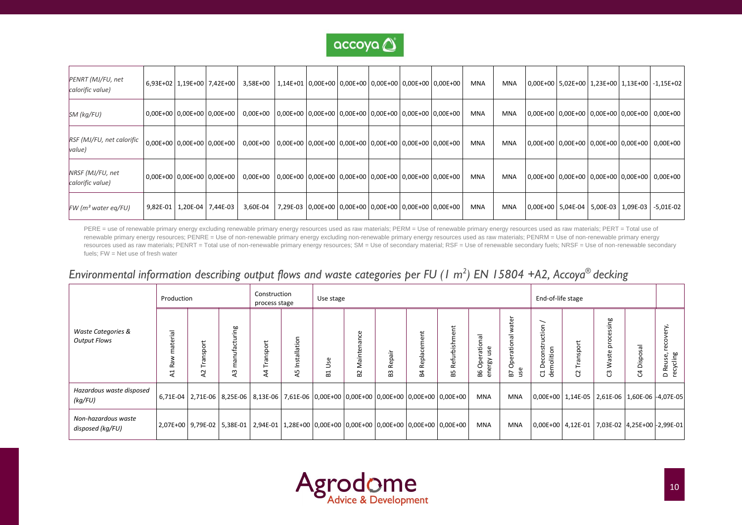

| PENRT (MJ/FU, net<br>calorific value) |  | 6,93E+02 1,19E+00 7,42E+00     | 3,58E+00                                                                     | 1,14E+01 0,00E+00 0,00E+00 0,00E+00 0,00E+00 0,00E+00 |  |                                                                 |  | <b>MNA</b> | <b>MNA</b> |  |                                           | 0,00E+00   5,02E+00   1,23E+00   1,13E+00   -1,15E+02 |
|---------------------------------------|--|--------------------------------|------------------------------------------------------------------------------|-------------------------------------------------------|--|-----------------------------------------------------------------|--|------------|------------|--|-------------------------------------------|-------------------------------------------------------|
| SM (kg/FU)                            |  | 0,00E+00 0,00E+00 0,00E+00     | 0,00E+00 0,00E+00 0,00E+00 0,00E+00 0,00E+00 0,00E+00 0,00E+00               |                                                       |  |                                                                 |  | <b>MNA</b> | MNA        |  |                                           | 0,00E+00   0,00E+00   0,00E+00   0,00E+00   0,00E+00  |
| RSF (MJ/FU, net calorific<br>value)   |  | 0,00E+00 0,00E+00 0,00E+00     | $0,00E+00$ 0,00E+00 0,00E+00 0,00E+00 0,00E+00 0,00E+00 0,00E+00             |                                                       |  |                                                                 |  | <b>MNA</b> | MNA        |  |                                           | 0,00E+00 0,00E+00 0,00E+00 0,00E+00 0,00E+00          |
| NRSF (MJ/FU, net<br>calorific value)  |  | $0,00E+00$ 0.00E+00 0.00E+00   | $0,00E+00$   0,00E+00   0,00E+00   0,00E+00   0,00E+00   0,00E+00   0,00E+00 |                                                       |  |                                                                 |  | <b>MNA</b> | MNA        |  |                                           | 0,00E+00 0,00E+00 0,00E+00 0,00E+00 0,00E+00          |
| $FW$ (m <sup>3</sup> water eq/FU)     |  | 9,82E-01   1,20E-04   7,44E-03 | 3,60E-04                                                                     |                                                       |  | 7,29E-03   0,00E+00   0,00E+00   0,00E+00   0,00E+00   0,00E+00 |  | <b>MNA</b> | <b>MNA</b> |  | 0,00E+00   5,04E-04   5,00E-03   1,09E-03 | $-5,01E-02$                                           |

PERE = use of renewable primary energy excluding renewable primary energy resources used as raw materials; PERM = Use of renewable primary energy resources used as raw materials; PERT = Total use of renewable primary energy resources; PENRE = Use of non-renewable primary energy excluding non-renewable primary energy resources used as raw materials; PENRM = Use of non-renewable primary energy resources used as raw materials; PENRT = Total use of non-renewable primary energy resources; SM = Use of secondary material; RSF = Use of renewable secondary fuels; NRSF = Use of non-renewable secondary fuels; FW = Net use of fresh water

## *Environmental information describing output flows and waste categories per FU (1 m 2 ) EN 15804 +A2, Accoya® decking*

|                                                      | Production                  |                              |                                     | Construction<br>process stage                                                                               |                  | Use stage                             |                              |                         |                        |                     |                                   |                                                          | End-of-life stage                                     |                               |                                  |                        |                                              |
|------------------------------------------------------|-----------------------------|------------------------------|-------------------------------------|-------------------------------------------------------------------------------------------------------------|------------------|---------------------------------------|------------------------------|-------------------------|------------------------|---------------------|-----------------------------------|----------------------------------------------------------|-------------------------------------------------------|-------------------------------|----------------------------------|------------------------|----------------------------------------------|
| <b>Waste Categories &amp;</b><br><b>Output Flows</b> | aterial<br>శ<br>œ<br>H<br>⋖ | σrt<br>œ<br>⊢<br>$\sim$<br>⋖ | ufacturing<br>ā<br>Ε<br>$\sim$<br>⋖ | nsport<br>σ<br>⋖                                                                                            | nstallation<br>⋖ | æ<br>⊃<br>$\mathbf -$<br>$\mathbf{a}$ | ٻم<br><br>$\sim$<br>$\omega$ | ă<br>90<br>œ<br>S<br>co | epla<br>$\propto$<br>മ | Refurbishment<br>55 | Operationa<br>use<br>energy<br>98 | ater<br>ational<br>৯<br>å<br>$\mathbf \omega$<br>57<br>3 | ╮<br>Deconstruction<br>molition<br>ರ<br>ዳ             | Transport<br>$\sim$<br>$\cup$ | sing<br>ā<br>aste<br>≷<br>ω<br>ပ | osal<br>Disp<br>$\cup$ | recovery,<br>recycling<br>Reuse,<br>$\Omega$ |
| Hazardous waste disposed<br>(kg/FU)                  |                             |                              |                                     | 6,71E-04 2,71E-06 8,25E-06 8,13E-06 7,61E-06 0,00E+00 0,00E+00 0,00E+00 0,00E+00 0,00E+00                   |                  |                                       |                              |                         |                        |                     | <b>MNA</b>                        | <b>MNA</b>                                               | 0,00E+00   1,14E-05   2,61E-06   1,60E-06   -4,07E-05 |                               |                                  |                        |                                              |
| Non-hazardous waste<br>disposed (kg/FU)              |                             |                              |                                     | 2,07E+00   9,79E-02   5,38E-01   2,94E-01   1,28E+00   0,00E+00   0,00E+00   0,00E+00   0,00E+00   0,00E+00 |                  |                                       |                              |                         |                        |                     | MNA                               | MNA                                                      | 0,00E+00   4,12E-01   7,03E-02   4,25E+00 - 2,99E-01  |                               |                                  |                        |                                              |

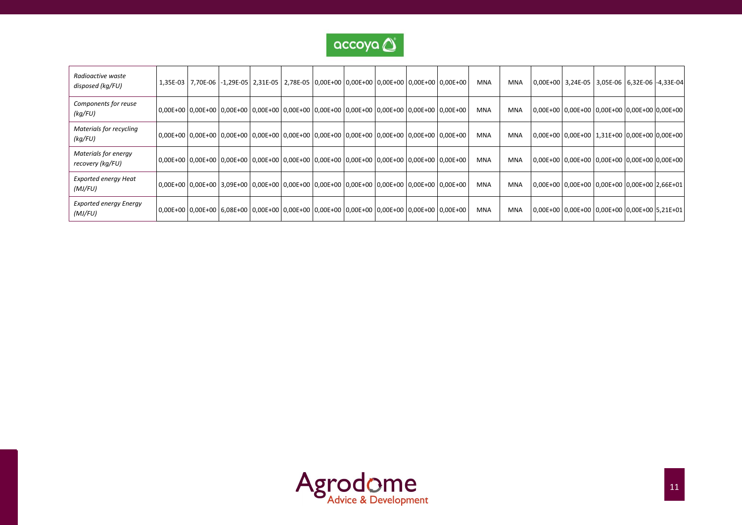

| Radioactive waste<br>disposed (kg/FU)    | 1,35E-03 7,70E-06 -1,29E-05 2,31E-05 2,78E-05 0,00E+00 0,00E+00 0,00E+00 0,00E+00 0,00E+00         |  |  |  |  | <b>MNA</b> | MNA | 0,00E+00 3,24E-05 3,05E-06 6,32E-06 -4,33E-04 |  |  |
|------------------------------------------|----------------------------------------------------------------------------------------------------|--|--|--|--|------------|-----|-----------------------------------------------|--|--|
| Components for reuse<br>(kq/FU)          | 0,00E+00 0,00E+00 0,00E+00 0,00E+00 0,00E+00 0,00E+00 0,00E+00 0,00E+00 0,00E+00 0,00E+00 0,00E+00 |  |  |  |  | <b>MNA</b> | MNA | 0,00E+00 0,00E+00 0,00E+00 0,00E+00 0,00E+00  |  |  |
| Materials for recycling<br>(kq/FU)       | 0,00E+00 0,00E+00 0,00E+00 0,00E+00 0,00E+00 0,00E+00 0,00E+00 0,00E+00 0,00E+00 0,00E+00 0,00E+00 |  |  |  |  | <b>MNA</b> | MNA | 0,00E+00 0,00E+00 1,31E+00 0,00E+00 0,00E+00  |  |  |
| Materials for energy<br>recovery (kg/FU) | 0,00E+00 0,00E+00 0,00E+00 0,00E+00 0,00E+00 0,00E+00 0,00E+00 0,00E+00 0,00E+00 0,00E+00 0,00E+00 |  |  |  |  | <b>MNA</b> | MNA | 0,00E+00 0,00E+00 0,00E+00 0,00E+00 0,00E+00  |  |  |
| <b>Exported energy Heat</b><br>(MJ/FU)   | 0,00E+00 0,00E+00 3,09E+00 0,00E+00 0,00E+00 0,00E+00 0,00E+00 0,00E+00 0,00E+00 0,00E+00 0,00E+00 |  |  |  |  | <b>MNA</b> | MNA | 0,00E+00 0,00E+00 0,00E+00 0,00E+00 2,66E+01  |  |  |
| <b>Exported energy Energy</b><br>(MJ/FU) | 0,00E+00 0,00E+00 6,08E+00 0,00E+00 0,00E+00 0,00E+00 0,00E+00 0,00E+00 0,00E+00 0,00E+00 0,00E+00 |  |  |  |  | MNA        | MNA | 0,00E+00 0,00E+00 0,00E+00 0,00E+00 5,21E+01  |  |  |

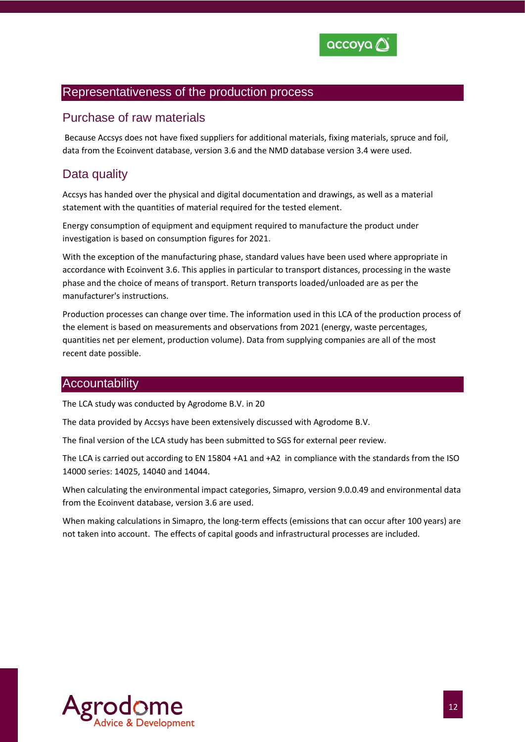

#### Representativeness of the production process

#### Purchase of raw materials

Because Accsys does not have fixed suppliers for additional materials, fixing materials, spruce and foil, data from the Ecoinvent database, version 3.6 and the NMD database version 3.4 were used.

## Data quality

Accsys has handed over the physical and digital documentation and drawings, as well as a material statement with the quantities of material required for the tested element.

Energy consumption of equipment and equipment required to manufacture the product under investigation is based on consumption figures for 2021.

With the exception of the manufacturing phase, standard values have been used where appropriate in accordance with Ecoinvent 3.6. This applies in particular to transport distances, processing in the waste phase and the choice of means of transport. Return transports loaded/unloaded are as per the manufacturer's instructions.

Production processes can change over time. The information used in this LCA of the production process of the element is based on measurements and observations from 2021 (energy, waste percentages, quantities net per element, production volume). Data from supplying companies are all of the most recent date possible.

#### **Accountability**

The LCA study was conducted by Agrodome B.V. in 20

The data provided by Accsys have been extensively discussed with Agrodome B.V.

The final version of the LCA study has been submitted to SGS for external peer review.

The LCA is carried out according to EN 15804 +A1 and +A2 in compliance with the standards from the ISO 14000 series: 14025, 14040 and 14044.

When calculating the environmental impact categories, Simapro, version 9.0.0.49 and environmental data from the Ecoinvent database, version 3.6 are used.

When making calculations in Simapro, the long-term effects (emissions that can occur after 100 years) are not taken into account. The effects of capital goods and infrastructural processes are included.

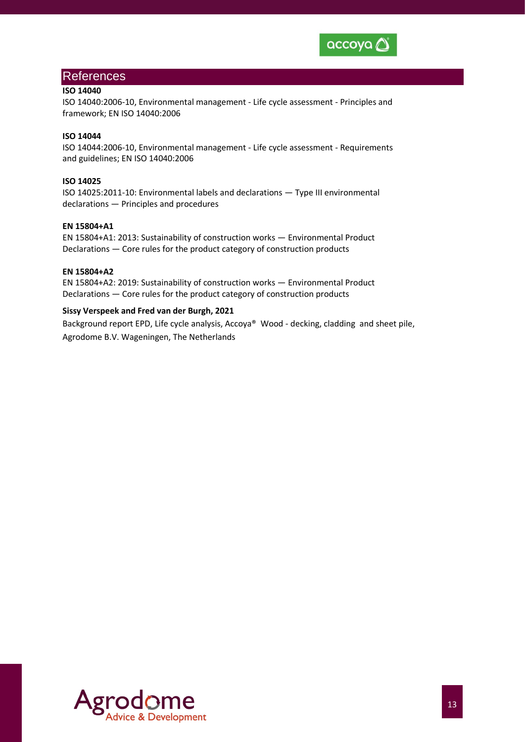

#### References

#### **ISO 14040**

ISO 14040:2006-10, Environmental management - Life cycle assessment - Principles and framework; EN ISO 14040:2006

#### **ISO 14044**

ISO 14044:2006-10, Environmental management - Life cycle assessment - Requirements and guidelines; EN ISO 14040:2006

#### **ISO 14025**

ISO 14025:2011-10: Environmental labels and declarations — Type III environmental declarations — Principles and procedures

#### **EN 15804+A1**

EN 15804+A1: 2013: Sustainability of construction works — Environmental Product Declarations — Core rules for the product category of construction products

#### **EN 15804+A2**

EN 15804+A2: 2019: Sustainability of construction works — Environmental Product Declarations — Core rules for the product category of construction products

#### **Sissy Verspeek and Fred van der Burgh, 2021**

Background report EPD, Life cycle analysis, Accoya® Wood - decking, cladding and sheet pile, Agrodome B.V. Wageningen, The Netherlands